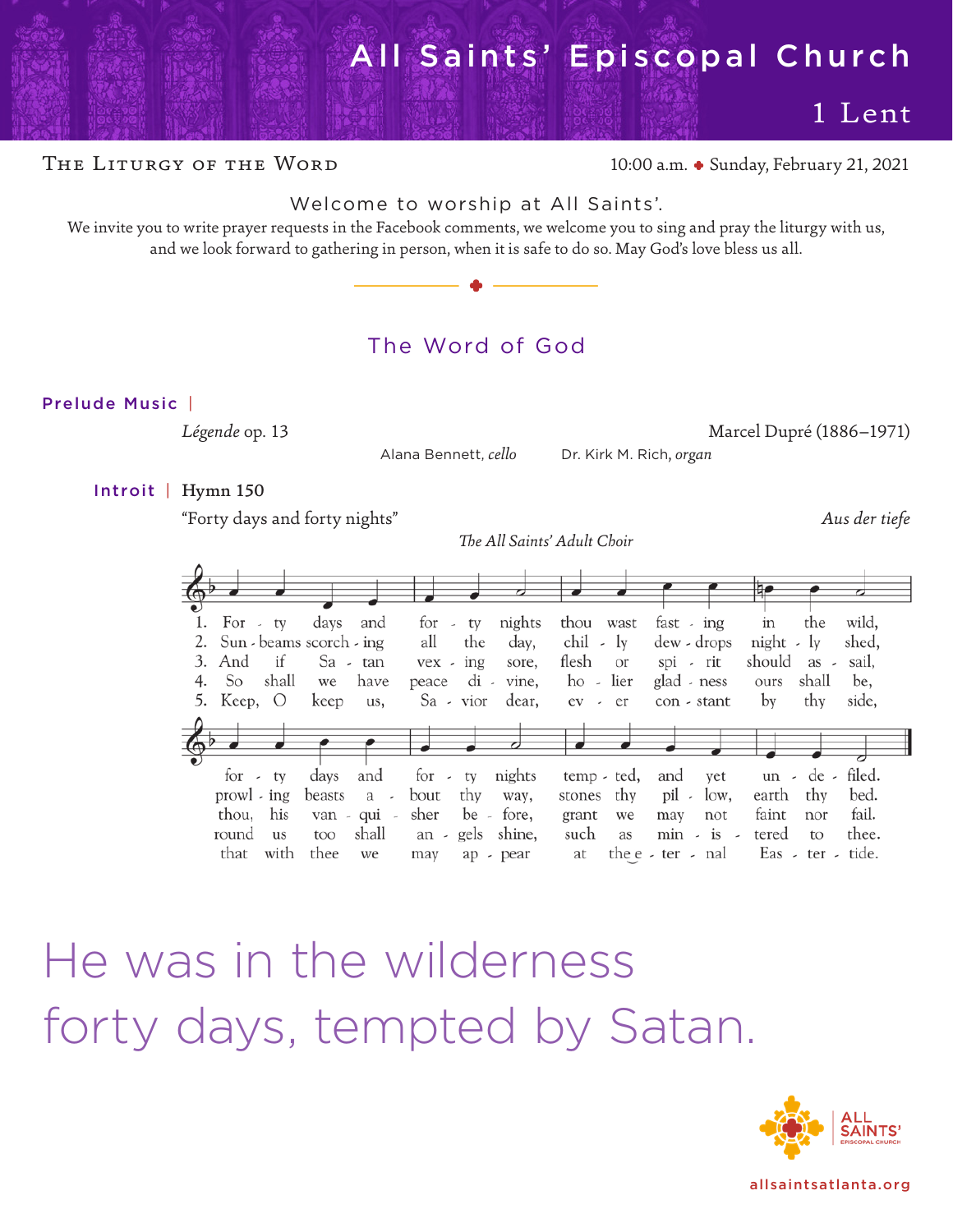# [All Saints' Episcopal Church](https://allsaintsatlanta.org/)

1 Lent

THE LITURGY OF THE WORD 10:00 a.m. • Sunday, February 21, 2021

# Welcome to worship at All Saints'.

We invite you to write prayer requests in the Facebook comments, we welcome you to sing and pray the liturgy with us, and we look forward to gathering in person, when it is safe to do so. May God's love bless us all. ome to worship at All Sandwich and Comments, we welcome<br>
on the Facebook comments, we welcome<br>
ering in person, when it is safe to do so



# The Word of God

# Prelude Music |

Alana Bennett, *cello* Dr. Kirk M. Rich, *organ*

*Légende* op. 13 Marcel Dupré (1886–1971)

Introit | Hymn 150

"Forty days and forty nights" *Aus der tiefe*

*The All Saints' Adult Choir*

|                                                                                                    |                                                          |                                                                                                                                            |                                                                          |                                                                        | ₩                                                                                                                 |
|----------------------------------------------------------------------------------------------------|----------------------------------------------------------|--------------------------------------------------------------------------------------------------------------------------------------------|--------------------------------------------------------------------------|------------------------------------------------------------------------|-------------------------------------------------------------------------------------------------------------------|
| For $-$ ty<br>2. Sun - beams scorch - ing<br>3. And<br>if<br>shall<br>4. So<br>5. Keep, $\bigcirc$ | and<br>days<br>Sa - tan<br>have<br>we<br>keep<br>us,     | nights<br>$\frac{1}{x}$ ty<br>all<br>the<br>day,<br>$\text{vex}$ - $\text{ing}$<br>sore,<br>$di$ -<br>vine,<br>peace<br>dear,<br>Sa - vior | thou wast<br>$chil$ - $ly$<br>flesh<br><b>Or</b><br>ho - lier<br>ev - er | fast - $ing$<br>dew - drops<br>spi - rit<br>glad - ness<br>con - stant | in<br>wild,<br>the<br>shed,<br>$night - ly$<br>should as -<br>sail,<br>shall<br>be,<br>ours<br>by<br>thy<br>side, |
| $for -tv$<br>prowl - ing<br>thou, his<br>round<br>us                                               | days<br>and<br>beasts a -<br>van - qui -<br>shall<br>too | for - ty<br>nights<br>thy<br>bout<br>way,<br>sher<br>be - fore,<br>an - gels shine,                                                        | temp - ted,<br>thy<br>stones<br>grant<br>we<br>such<br>as                | and yet<br>pil -<br>low,<br>not<br>may<br>$min - is -$                 | $un \cdot de \cdot filed.$<br>bed.<br>earth thy<br>fail.<br>faint<br>nor<br>thee.<br>tered<br>to                  |

He was in the wilderness forty days, tempted by Satan.



[allsaintsatlanta.org](https://allsaintsatlanta.org/)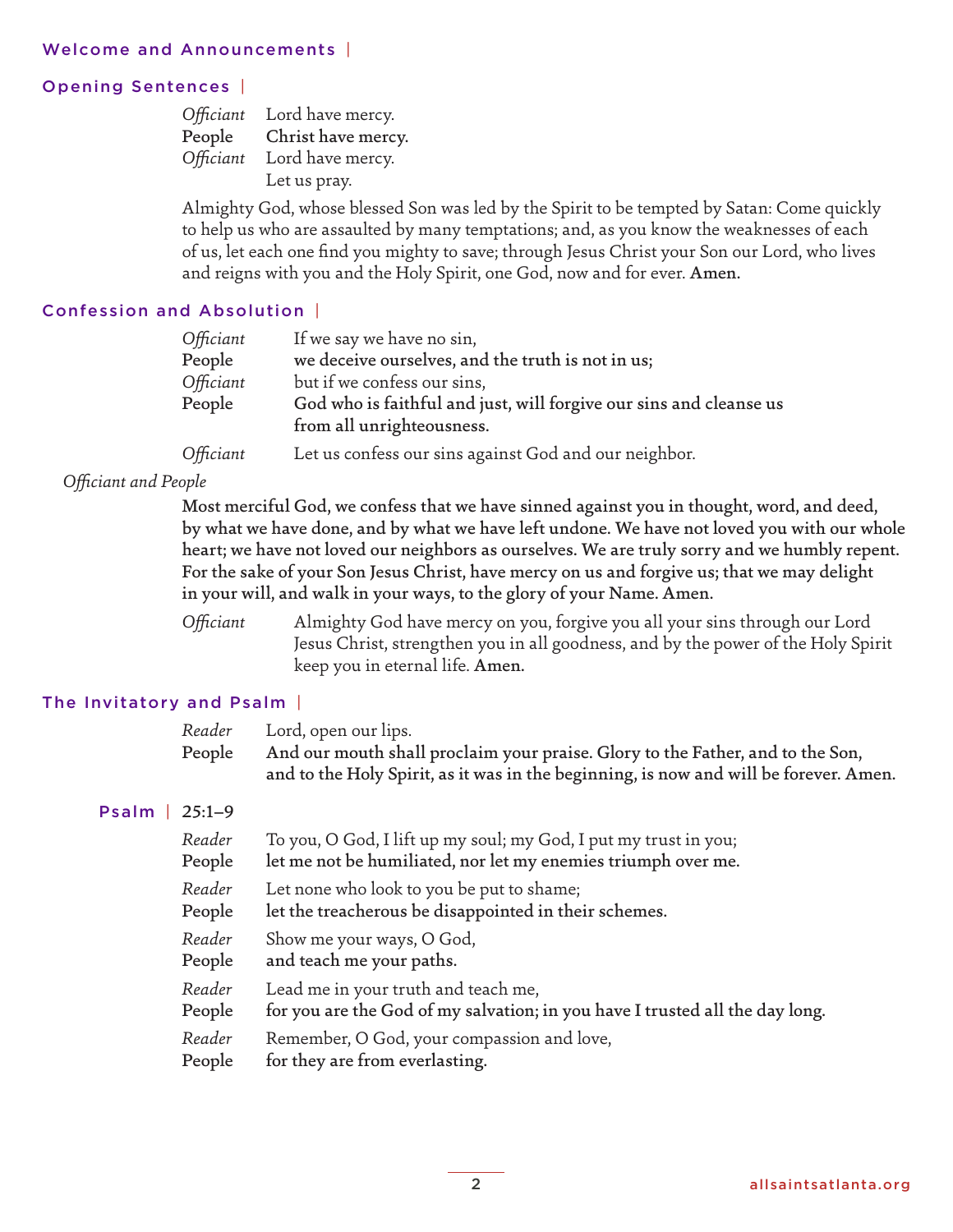# Opening Sentences |

|           | Officiant Lord have mercy. |
|-----------|----------------------------|
| People    | Christ have mercy.         |
| Officiant | Lord have mercy.           |
|           | Let us pray.               |

Almighty God, whose blessed Son was led by the Spirit to be tempted by Satan: Come quickly to help us who are assaulted by many temptations; and, as you know the weaknesses of each of us, let each one find you mighty to save; through Jesus Christ your Son our Lord, who lives and reigns with you and the Holy Spirit, one God, now and for ever. Amen.

# Confession and Absolution |

| Officiant | If we say we have no sin,                                          |
|-----------|--------------------------------------------------------------------|
| People    | we deceive ourselves, and the truth is not in us;                  |
| Officiant | but if we confess our sins,                                        |
| People    | God who is faithful and just, will forgive our sins and cleanse us |
|           | from all unrighteousness.                                          |
| Officiant | Let us confess our sins against God and our neighbor.              |

# *Officiant and People*

Most merciful God, we confess that we have sinned against you in thought, word, and deed, by what we have done, and by what we have left undone. We have not loved you with our whole heart; we have not loved our neighbors as ourselves. We are truly sorry and we humbly repent. For the sake of your Son Jesus Christ, have mercy on us and forgive us; that we may delight in your will, and walk in your ways, to the glory of your Name. Amen.

*Officiant* Almighty God have mercy on you, forgive you all your sins through our Lord Jesus Christ, strengthen you in all goodness, and by the power of the Holy Spirit keep you in eternal life. Amen.

# The Invitatory and Psalm |

| Reader | Lord, open our lips. |  |
|--------|----------------------|--|
|--------|----------------------|--|

People And our mouth shall proclaim your praise. Glory to the Father, and to the Son, and to the Holy Spirit, as it was in the beginning, is now and will be forever. Amen.

# Psalm | 25:1–9

| Reader | To you, O God, I lift up my soul; my God, I put my trust in you;             |
|--------|------------------------------------------------------------------------------|
| People | let me not be humiliated, nor let my enemies triumph over me.                |
| Reader | Let none who look to you be put to shame;                                    |
| People | let the treacherous be disappointed in their schemes.                        |
| Reader | Show me your ways, O God,                                                    |
| People | and teach me your paths.                                                     |
| Reader | Lead me in your truth and teach me,                                          |
| People | for you are the God of my salvation; in you have I trusted all the day long. |
| Reader | Remember, O God, your compassion and love,                                   |
| People | for they are from everlasting.                                               |
|        |                                                                              |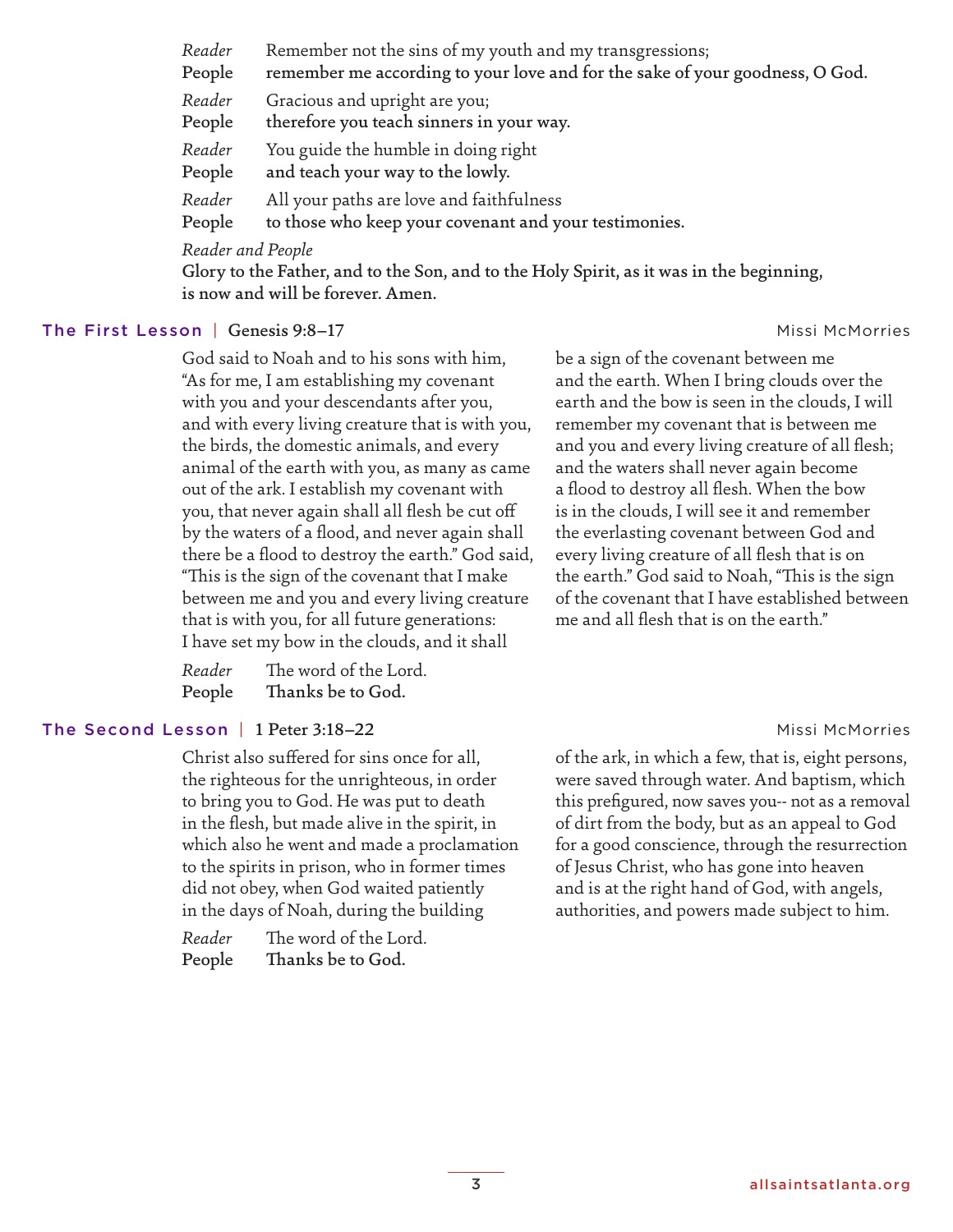*Reader* Remember not the sins of my youth and my transgressions; People remember me according to your love and for the sake of your goodness, O God. *Reader* Gracious and upright are you; People therefore you teach sinners in your way. *Reader* You guide the humble in doing right People and teach your way to the lowly. *Reader* All your paths are love and faithfulness People to those who keep your covenant and your testimonies. *Reader and People* Glory to the Father, and to the Son, and to the Holy Spirit, as it was in the beginning,

#### The First Lesson | Genesis 9:8-17 Missi McMorries | Missi McMorries | Missi McMorries | Missi McMorries | Missi McMorries | Missi McMorries | Missi McMorries | Missi McMorries | Missi McMorries | Missi McMorries | Missi Mc

God said to Noah and to his sons with him, "As for me, I am establishing my covenant with you and your descendants after you, and with every living creature that is with you, the birds, the domestic animals, and every animal of the earth with you, as many as came out of the ark. I establish my covenant with you, that never again shall all flesh be cut off by the waters of a flood, and never again shall there be a flood to destroy the earth." God said, "This is the sign of the covenant that I make between me and you and every living creature that is with you, for all future generations: I have set my bow in the clouds, and it shall

| Reader | The word of the Lord. |
|--------|-----------------------|
| People | Thanks be to God.     |

is now and will be forever. Amen.

### The Second Lesson | 1 Peter 3:18–22 Missi McMorries

Christ also suffered for sins once for all, the righteous for the unrighteous, in order to bring you to God. He was put to death in the flesh, but made alive in the spirit, in which also he went and made a proclamation to the spirits in prison, who in former times did not obey, when God waited patiently in the days of Noah, during the building

*Reader* The word of the Lord. People Thanks be to God.

be a sign of the covenant between me and the earth. When I bring clouds over the earth and the bow is seen in the clouds, I will remember my covenant that is between me and you and every living creature of all flesh; and the waters shall never again become a flood to destroy all flesh. When the bow is in the clouds, I will see it and remember the everlasting covenant between God and every living creature of all flesh that is on the earth." God said to Noah, "This is the sign of the covenant that I have established between me and all flesh that is on the earth."

of the ark, in which a few, that is, eight persons, were saved through water. And baptism, which this prefigured, now saves you-- not as a removal of dirt from the body, but as an appeal to God for a good conscience, through the resurrection of Jesus Christ, who has gone into heaven and is at the right hand of God, with angels, authorities, and powers made subject to him.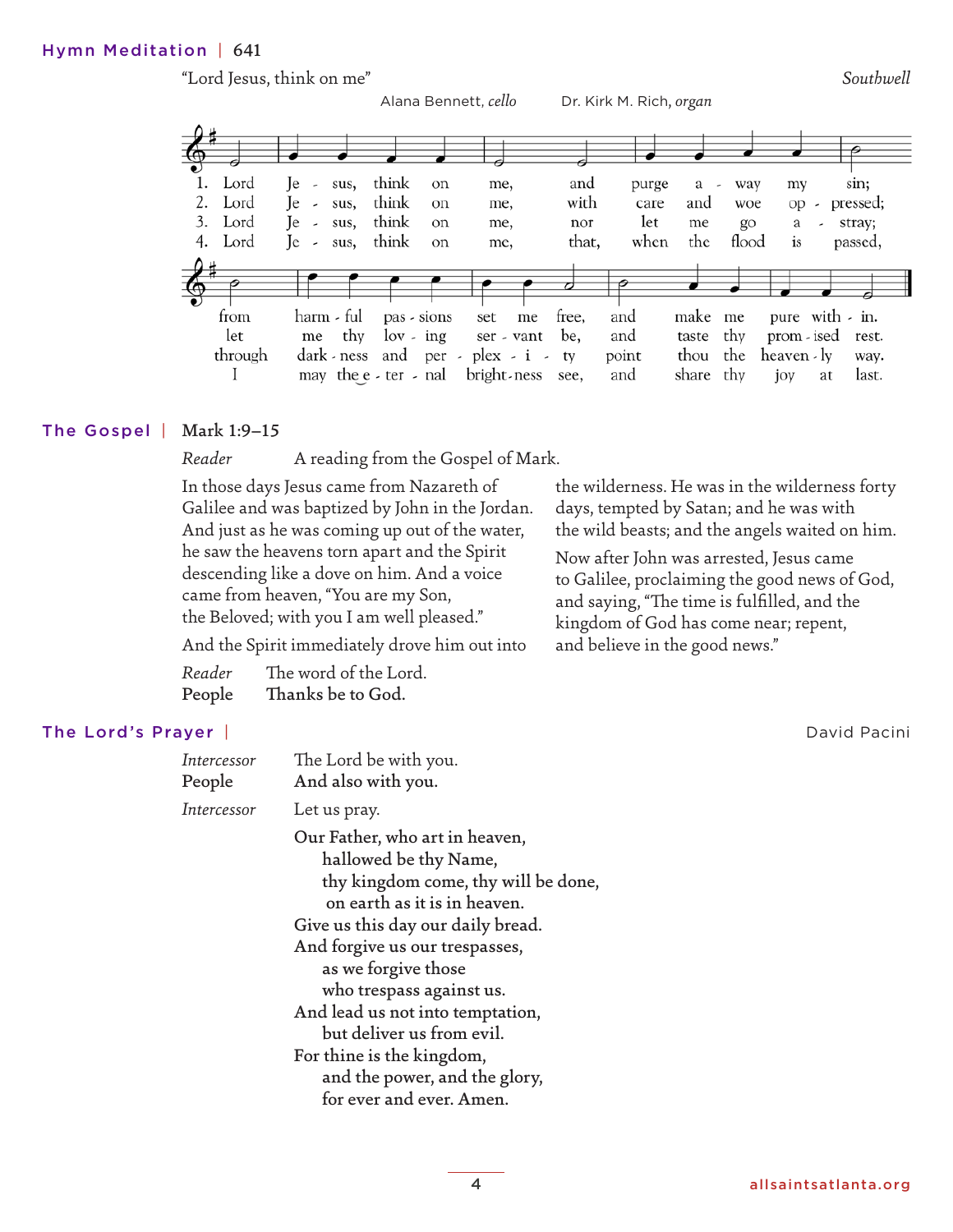# Hymn Meditation | 641



# The Gospel | Mark 1:9-15

*Reader* A reading from the Gospel of Mark.

In those days Jesus came from Nazareth of Galilee and was baptized by John in the Jordan. And just as he was coming up out of the water, he saw the heavens torn apart and the Spirit descending like a dove on him. And a voice came from heaven, "You are my Son, the Beloved; with you I am well pleased."

the wilderness. He was in the wilderness forty days, tempted by Satan; and he was with the wild beasts; and the angels waited on him.

Now after John was arrested, Jesus came to Galilee, proclaiming the good news of God, and saying, "The time is fulfilled, and the kingdom of God has come near; repent, and believe in the good news."

And the Spirit immediately drove him out into

| Reader | The word of the Lord. |
|--------|-----------------------|
| People | Thanks be to God.     |

# The Lord's Prayer | National Pacini Pacini Pacini Pacini Pacini Pacini Pacini Pacini Pacini Pacini Pacini Pacini

| Intercessor<br>People | The Lord be with you.<br>And also with you.                                                                                                                                                                                                                                                                                                                                                                         |
|-----------------------|---------------------------------------------------------------------------------------------------------------------------------------------------------------------------------------------------------------------------------------------------------------------------------------------------------------------------------------------------------------------------------------------------------------------|
| Intercessor           | Let us pray.                                                                                                                                                                                                                                                                                                                                                                                                        |
|                       | Our Father, who art in heaven,<br>hallowed be thy Name,<br>thy kingdom come, thy will be done,<br>on earth as it is in heaven.<br>Give us this day our daily bread.<br>And forgive us our trespasses,<br>as we forgive those<br>who trespass against us.<br>And lead us not into temptation,<br>but deliver us from evil.<br>For thine is the kingdom,<br>and the power, and the glory,<br>for ever and ever. Amen. |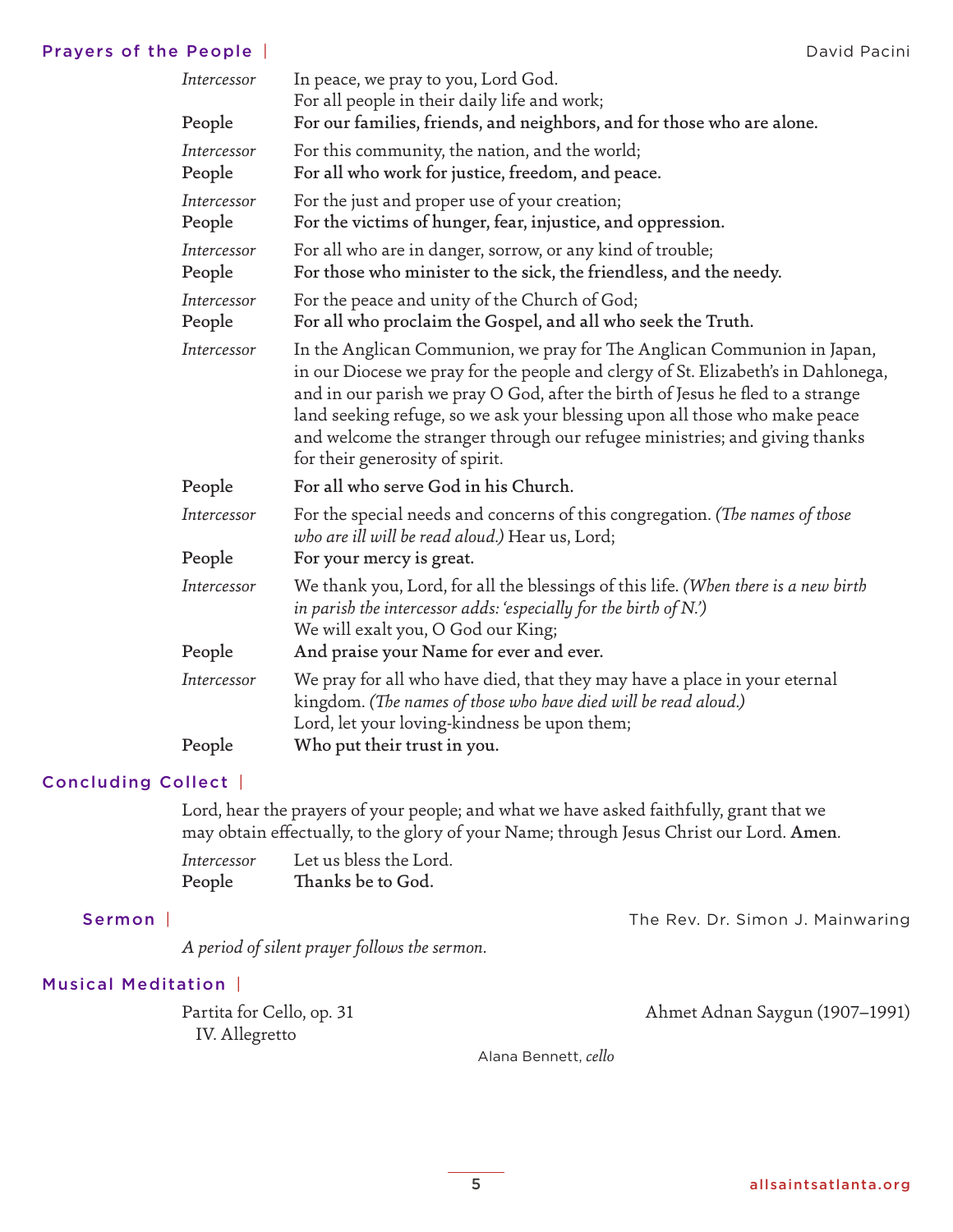# Prayers of the People | National Pacini Prayers of the People | National Pacini Pacini Pacini Pacini Pacini Pacini

| Intercessor           | In peace, we pray to you, Lord God.<br>For all people in their daily life and work;                                                                                                                                                                                                                                                                                                                                                           |
|-----------------------|-----------------------------------------------------------------------------------------------------------------------------------------------------------------------------------------------------------------------------------------------------------------------------------------------------------------------------------------------------------------------------------------------------------------------------------------------|
| People                | For our families, friends, and neighbors, and for those who are alone.                                                                                                                                                                                                                                                                                                                                                                        |
| Intercessor<br>People | For this community, the nation, and the world;<br>For all who work for justice, freedom, and peace.                                                                                                                                                                                                                                                                                                                                           |
| Intercessor<br>People | For the just and proper use of your creation;<br>For the victims of hunger, fear, injustice, and oppression.                                                                                                                                                                                                                                                                                                                                  |
| Intercessor<br>People | For all who are in danger, sorrow, or any kind of trouble;<br>For those who minister to the sick, the friendless, and the needy.                                                                                                                                                                                                                                                                                                              |
| Intercessor<br>People | For the peace and unity of the Church of God;<br>For all who proclaim the Gospel, and all who seek the Truth.                                                                                                                                                                                                                                                                                                                                 |
| Intercessor           | In the Anglican Communion, we pray for The Anglican Communion in Japan,<br>in our Diocese we pray for the people and clergy of St. Elizabeth's in Dahlonega,<br>and in our parish we pray O God, after the birth of Jesus he fled to a strange<br>land seeking refuge, so we ask your blessing upon all those who make peace<br>and welcome the stranger through our refugee ministries; and giving thanks<br>for their generosity of spirit. |
| People                | For all who serve God in his Church.                                                                                                                                                                                                                                                                                                                                                                                                          |
| Intercessor           | For the special needs and concerns of this congregation. (The names of those<br>who are ill will be read aloud.) Hear us, Lord;                                                                                                                                                                                                                                                                                                               |
| People                | For your mercy is great.                                                                                                                                                                                                                                                                                                                                                                                                                      |
| Intercessor           | We thank you, Lord, for all the blessings of this life. (When there is a new birth<br>in parish the intercessor adds: 'especially for the birth of $N$ .')<br>We will exalt you, O God our King;                                                                                                                                                                                                                                              |
| People                | And praise your Name for ever and ever.                                                                                                                                                                                                                                                                                                                                                                                                       |
| Intercessor           | We pray for all who have died, that they may have a place in your eternal<br>kingdom. (The names of those who have died will be read aloud.)<br>Lord, let your loving-kindness be upon them;                                                                                                                                                                                                                                                  |
| People                | Who put their trust in you.                                                                                                                                                                                                                                                                                                                                                                                                                   |

# Concluding Collect |

Lord, hear the prayers of your people; and what we have asked faithfully, grant that we may obtain effectually, to the glory of your Name; through Jesus Christ our Lord. Amen.

| Intercessor | Let us bless the Lord. |
|-------------|------------------------|
| People      | Thanks be to God.      |

Sermon | The Rev. Dr. Simon J. Mainwaring

*A period of silent prayer follows the sermon.*

# Musical Meditation |

IV. Allegretto

Partita for Cello, op. 31 Ahmet Adnan Saygun (1907–1991)

Alana Bennett, *cello*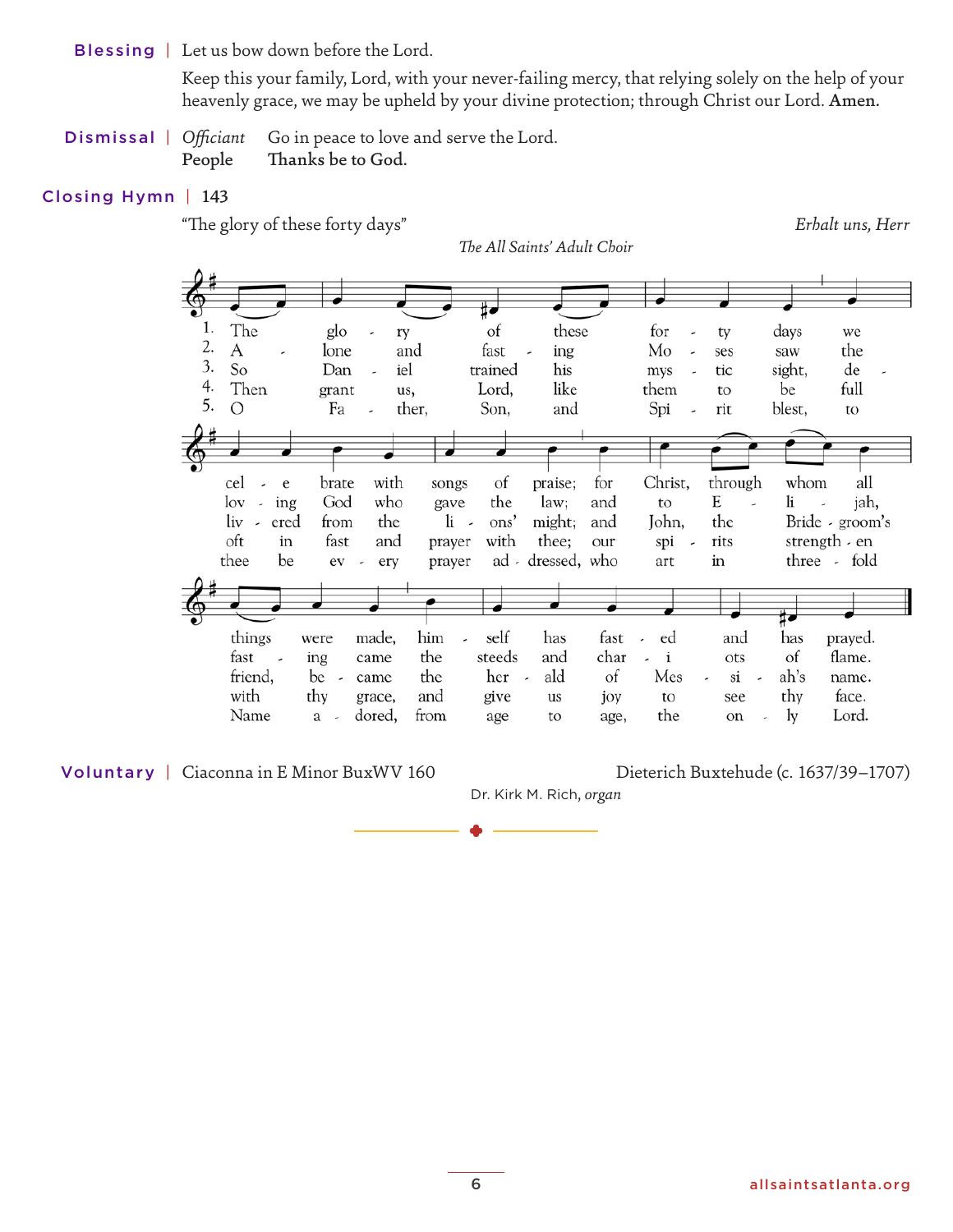Blessing | Let us bow down before the Lord.

 Keep this your family, Lord, with your never-failing mercy, that relying solely on the help of your heavenly grace, we may be upheld by your divine protection; through Christ our Lord. Amen.

Dismissal | *Officiant* Go in peace to love and serve the Lord. People Thanks be to God.

# Closing Hymn | 143

"The glory of these forty days" *Erhalt uns, Herr*



Dr. Kirk M. Rich, *organ*

Voluntary | Ciaconna in E Minor BuxWV 160 Dieterich Buxtehude (c. 1637/39–1707)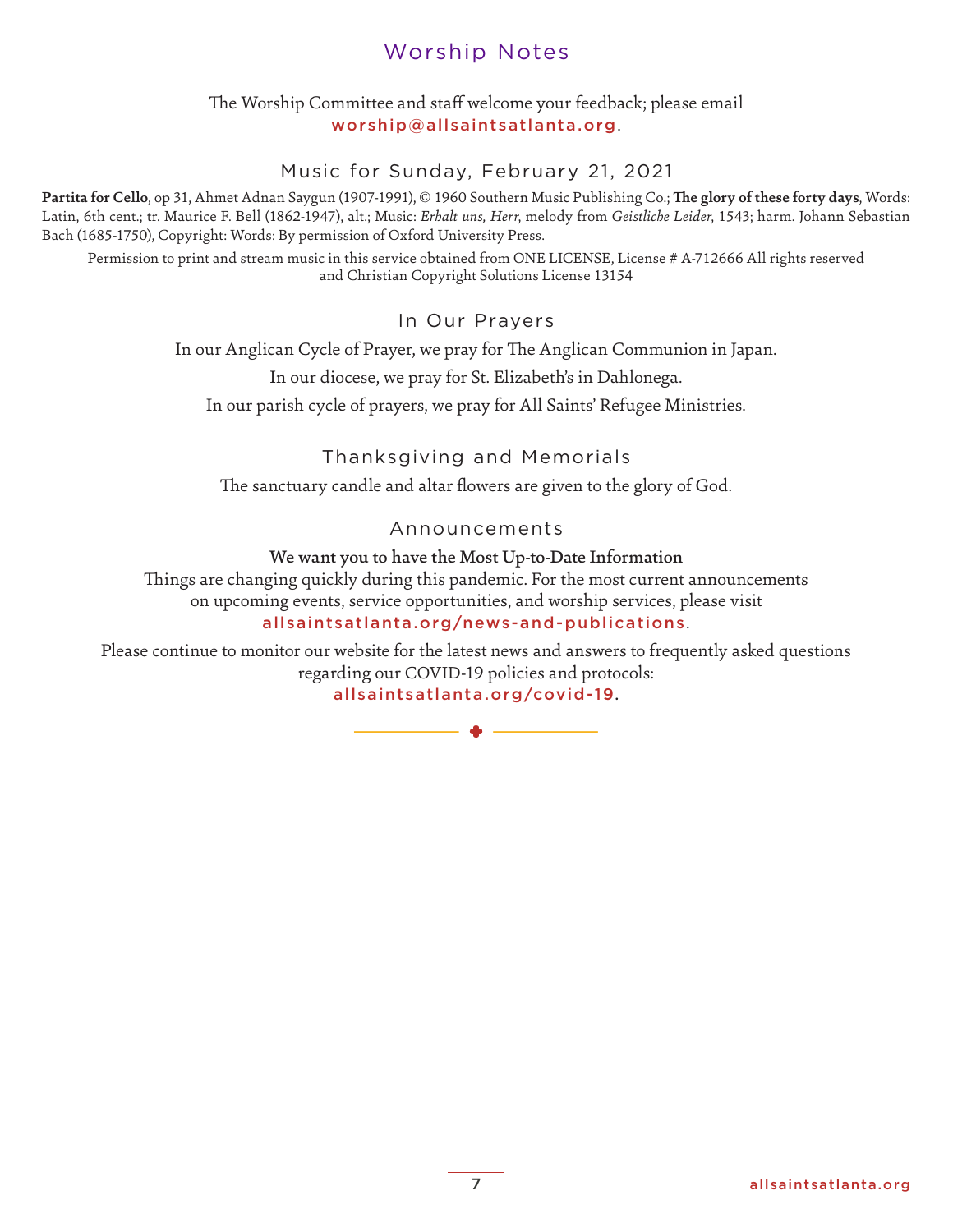# Worship Notes

# [The Worship Committee and staff welcome your feedback; please email](mailto:worship@allsaintsatlanta.org) worship@allsaintsatlanta.org.

# Music for Sunday, February 21, 2021

**Partita for Cello**, op 31, Ahmet Adnan Saygun (1907-1991), © 1960 Southern Music Publishing Co.; **The glory of these forty days**, Words: Latin, 6th cent.; tr. Maurice F. Bell (1862-1947), alt.; Music: *Erhalt uns, Herr*, melody from *Geistliche Leider*, 1543; harm. Johann Sebastian Bach (1685-1750), Copyright: Words: By permission of Oxford University Press.

Permission to print and stream music in this service obtained from ONE LICENSE, License # A-712666 All rights reserved and Christian Copyright Solutions License 13154

# In Our Prayers

In our Anglican Cycle of Prayer, we pray for The Anglican Communion in Japan.

In our diocese, we pray for St. Elizabeth's in Dahlonega.

In our parish cycle of prayers, we pray for All Saints' Refugee Ministries.

# Thanksgiving and Memorials

The sanctuary candle and altar flowers are given to the glory of God.

# Announcements

### We want you to have the Most Up-to-Date Information

Things are changing quickly during this pandemic. For the most current announcements on upcoming events, service opportunities, and worship services, please visit allsaintsatlanta.org/news-and-publications. ly during this pandemic. For the motographs are not all that a component and worship at lanta.org/news-and-puble rebsite for the latest news and answelling our COVID-19 policies and proposition and state and proposition of

Please continue to monitor our website for the latest news and answers to frequently asked questions regarding our COVID-19 policies and protocols: allsaintsatlanta.org/covid-19.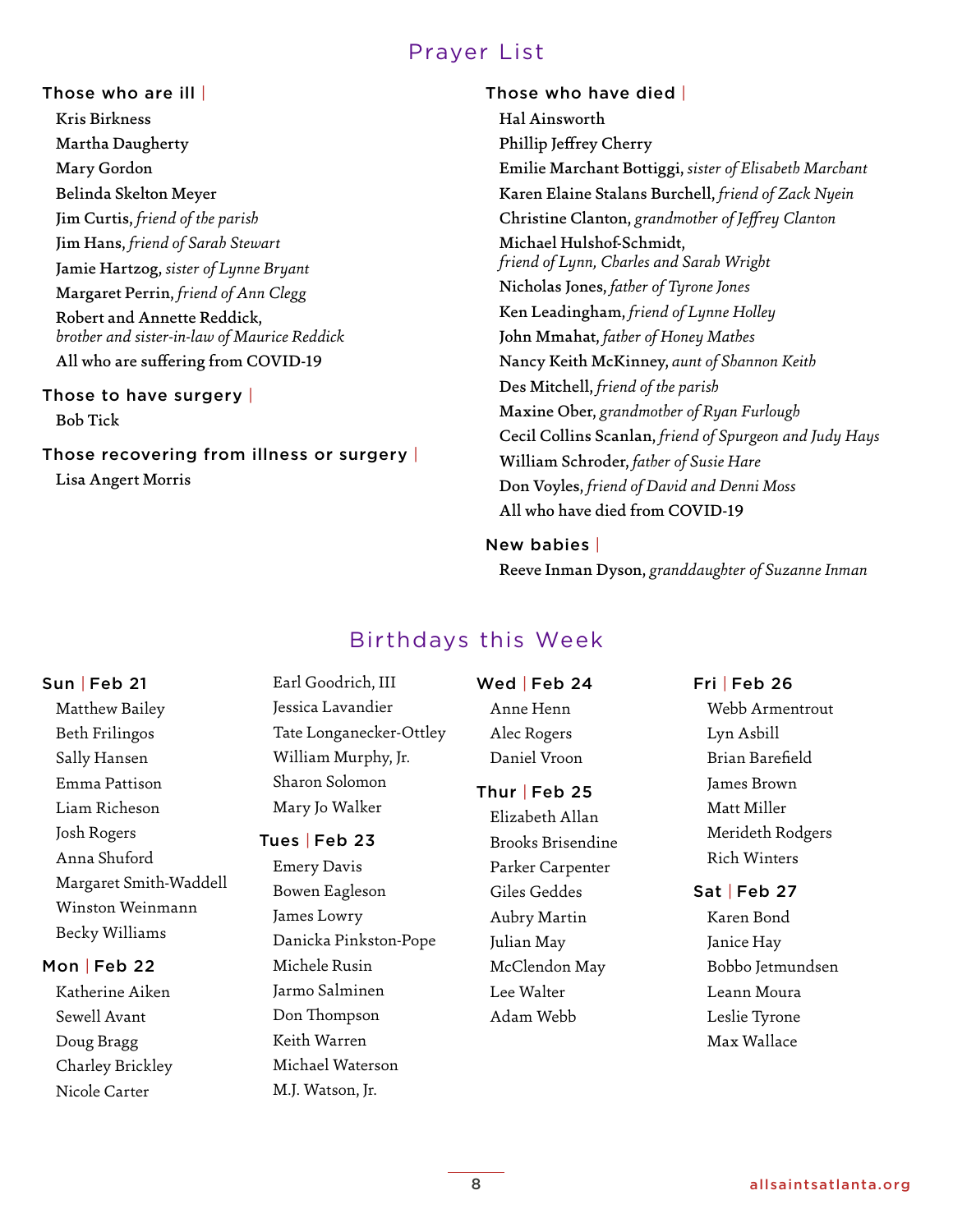# Prayer List

Those who are ill | Kris Birkness Martha Daugherty Mary Gordon Belinda Skelton Meyer Jim Curtis, *friend of the parish* Jim Hans, *friend of Sarah Stewart* Jamie Hartzog, *sister of Lynne Bryant* Margaret Perrin, *friend of Ann Clegg* Robert and Annette Reddick, *brother and sister-in-law of Maurice Reddick* All who are suffering from COVID-19

Those to have surgery | Bob Tick

Those recovering from illness or surgery | Lisa Angert Morris

# Those who have died | Hal Ainsworth Phillip Jeffrey Cherry Emilie Marchant Bottiggi, *sister of Elisabeth Marchant* Karen Elaine Stalans Burchell, *friend of Zack Nyein* Christine Clanton, *grandmother of Jeffrey Clanton* Michael Hulshof-Schmidt, *friend of Lynn, Charles and Sarah Wright* Nicholas Jones, *father of Tyrone Jones* Ken Leadingham, *friend of Lynne Holley* John Mmahat, *father of Honey Mathes* Nancy Keith McKinney, *aunt of Shannon Keith* Des Mitchell, *friend of the parish* Maxine Ober, *grandmother of Ryan Furlough* Cecil Collins Scanlan, *friend of Spurgeon and Judy Hays* William Schroder, *father of Susie Hare* Don Voyles, *friend of David and Denni Moss* All who have died from COVID-19

#### New babies |

Reeve Inman Dyson, *granddaughter of Suzanne Inman*

# Birthdays this Week

# Sun | Feb 21

Matthew Bailey Beth Frilingos Sally Hansen Emma Pattison Liam Richeson Josh Rogers Anna Shuford Margaret Smith-Waddell Winston Weinmann Becky Williams

#### Mon | Feb 22

Katherine Aiken Sewell Avant Doug Bragg Charley Brickley Nicole Carter

Earl Goodrich, III Jessica Lavandier Tate Longanecker-Ottley William Murphy, Jr. Sharon Solomon Mary Jo Walker

#### Tues | Feb 23

Emery Davis Bowen Eagleson James Lowry Danicka Pinkston-Pope Michele Rusin Jarmo Salminen Don Thompson Keith Warren Michael Waterson M.J. Watson, Jr.

Wed | Feb 24

Anne Henn Alec Rogers Daniel Vroon

#### Thur | Feb 25

Elizabeth Allan Brooks Brisendine Parker Carpenter Giles Geddes Aubry Martin Julian May McClendon May Lee Walter Adam Webb

#### Fri | Feb 26

Webb Armentrout Lyn Asbill Brian Barefield James Brown Matt Miller Merideth Rodgers Rich Winters

# Sat | Feb 27

Karen Bond Janice Hay Bobbo Jetmundsen Leann Moura Leslie Tyrone Max Wallace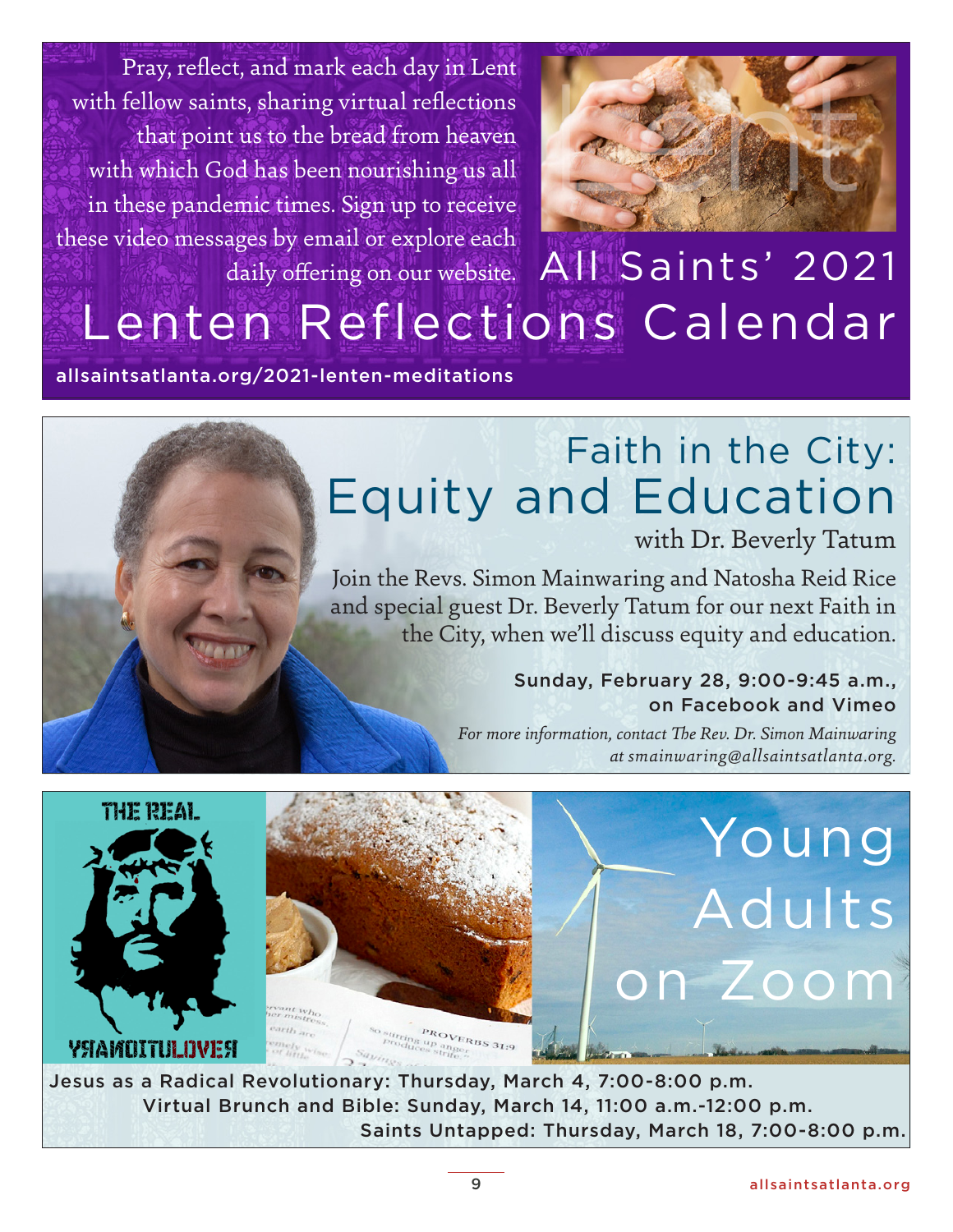Pray, reflect, and mark each day in Lent with fellow saints, sharing virtual reflections that point us to the bread from heaven with which God has been nourishing us all in these pandemic times. Sign up to receive these video messages by email or explore each daily offering on our website.



# All Saints' 2021 [Lenten Reflections Calendar](https://allsaintsatlanta.org/2021-lenten-meditations/)

allsaintsatlanta.org/2021-lenten-meditations

# Faith in the City: [Equity and Education](https://allsaintsatlanta.org/event/1950127-2021-02-28-faith-in-the-city-education-and-equity/)

with Dr. Beverly Tatum

Join the Revs. Simon Mainwaring and Natosha Reid Rice and special guest Dr. Beverly Tatum for our next Faith in the City, when we'll discuss equity and education.

# Sunday, February 28, 9:00-9:45 a.m., on Facebook and Vimeo

*For more information, contact The Rev. Dr. Simon Mainwaring at smainwaring@allsaintsatlanta.org.*



Jesus as a Radical Revolutionary: Thursday, March 4, 7:00-8:00 p.m. Virtual Brunch and Bible: Sunday, March 14, 11:00 a.m.-12:00 p.m. Saints Untapped: Thursday, March 18, 7:00-8:00 p.m.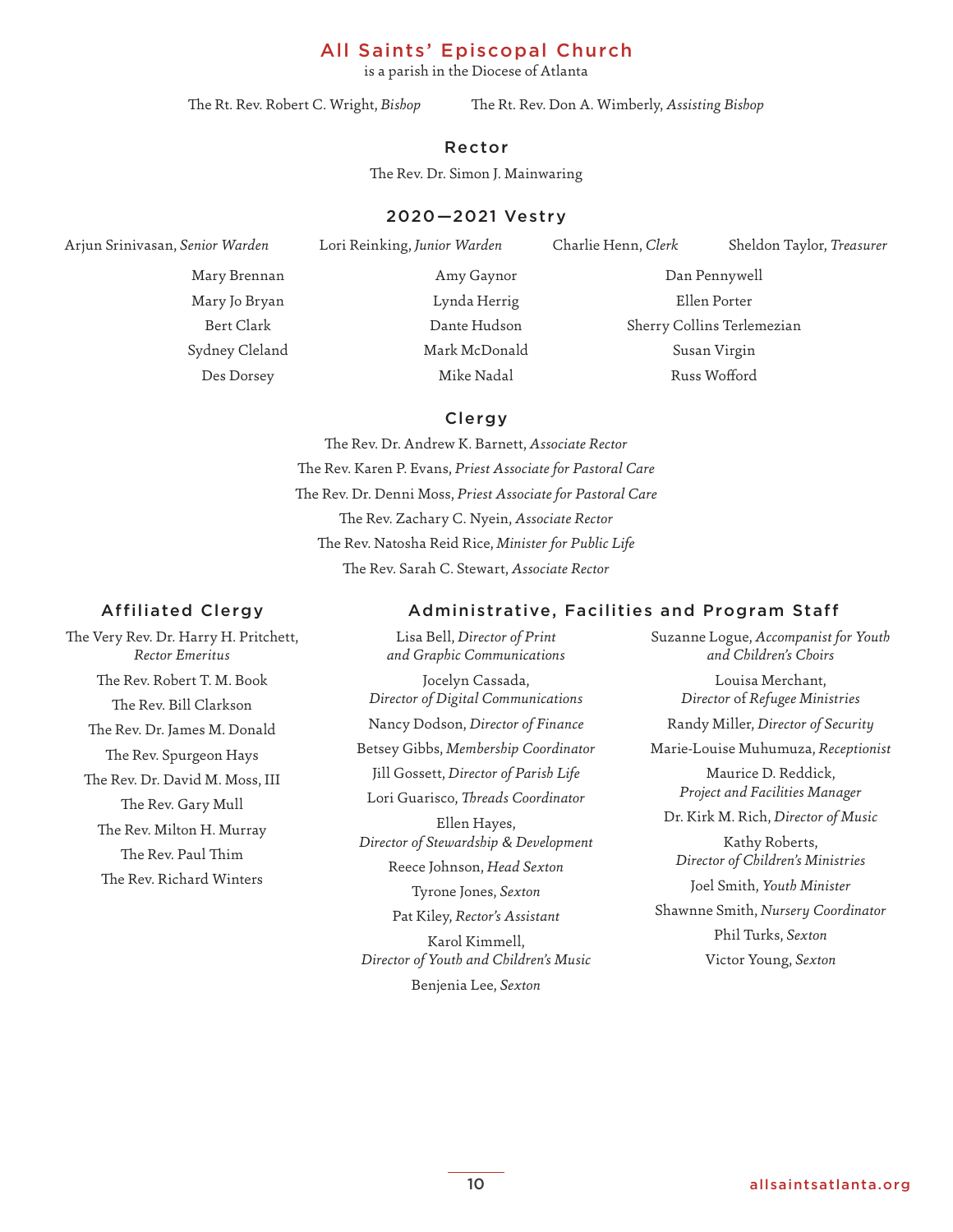# [All Saints' Episcopal Church](https://allsaintsatlanta.org/)

is a parish in the Diocese of Atlanta

The Rt. Rev. Robert C. Wright, *Bishop* The Rt. Rev. Don A. Wimberly, *Assisting Bishop*

#### Rector

The Rev. Dr. Simon J. Mainwaring

# 2020—2021 Vestry

Arjun Srinivasan, *Senior Warden* Lori Reinking, *Junior Warden* Charlie Henn, *Clerk* Sheldon Taylor, *Treasurer* 

Mary Brennan Mary Jo Bryan Bert Clark Sydney Cleland Des Dorsey

Amy Gaynor Lynda Herrig Dante Hudson Mark McDonald Mike Nadal

Dan Pennywell Ellen Porter Sherry Collins Terlemezian Susan Virgin Russ Wofford

### Clergy

The Rev. Dr. Andrew K. Barnett, *Associate Rector* The Rev. Karen P. Evans, *Priest Associate for Pastoral Care* The Rev. Dr. Denni Moss, *Priest Associate for Pastoral Care* The Rev. Zachary C. Nyein, *Associate Rector*  The Rev. Natosha Reid Rice, *Minister for Public Life* The Rev. Sarah C. Stewart, *Associate Rector*

#### Affiliated Clergy

The Very Rev. Dr. Harry H. Pritchett, *Rector Emeritus* The Rev. Robert T. M. Book The Rev. Bill Clarkson The Rev. Dr. James M. Donald The Rev. Spurgeon Hays The Rev. Dr. David M. Moss, III The Rev. Gary Mull The Rev. Milton H. Murray The Rev. Paul Thim The Rev. Richard Winters

Lisa Bell, *Director of Print and Graphic Communications* Jocelyn Cassada, *Director of Digital Communications* Nancy Dodson, *Director of Finance* Betsey Gibbs, *Membership Coordinator* Jill Gossett, *Director of Parish Life* Lori Guarisco, *Threads Coordinator*  Ellen Hayes, *Director of Stewardship & Development*  Reece Johnson, *Head Sexton* Tyrone Jones, *Sexton* Pat Kiley, *Rector's Assistant* Karol Kimmell, *Director of Youth and Children's Music*

Benjenia Lee, *Sexton*

#### Administrative, Facilities and Program Staff

Suzanne Logue, *Accompanist for Youth and Children's Choirs*

Louisa Merchant, *Director* of *Refugee Ministries* Randy Miller, *Director of Security*

Marie-Louise Muhumuza, *Receptionist*

Maurice D. Reddick, *Project and Facilities Manager*

Dr. Kirk M. Rich, *Director of Music*

Kathy Roberts, *Director of Children's Ministries* Joel Smith, *Youth Minister* Shawnne Smith, *Nursery Coordinator* Phil Turks, *Sexton*

Victor Young, *Sexton*